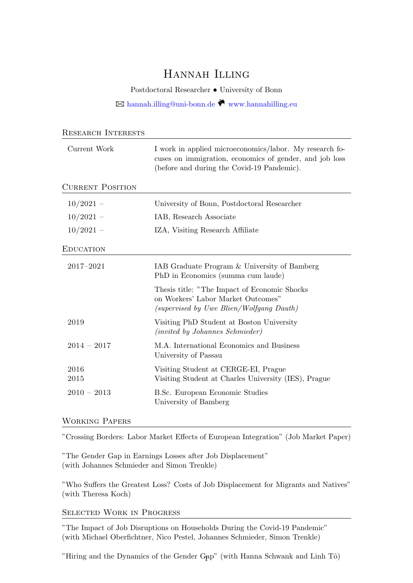# Hannah Illing

Postdoctoral Researcher • University of Bonn

 $\boxtimes$ [hannah.illing@uni-bonn.de](mailto:hannah.illing@uni-bonn.de) $\overset{\bigcirc}{\bigcirc}$ <www.hannahilling.eu>

| <b>RESEARCH INTERESTS</b> |                                                                                                                                                                  |
|---------------------------|------------------------------------------------------------------------------------------------------------------------------------------------------------------|
| Current Work              | I work in applied microeconomics/labor. My research fo-<br>cuses on immigration, economics of gender, and job loss<br>(before and during the Covid-19 Pandemic). |
| <b>CURRENT POSITION</b>   |                                                                                                                                                                  |
| $10/2021 -$               | University of Bonn, Postdoctoral Researcher                                                                                                                      |
| $10/2021 -$               | IAB, Research Associate                                                                                                                                          |
| $10/2021 -$               | IZA, Visiting Research Affiliate                                                                                                                                 |
| <b>EDUCATION</b>          |                                                                                                                                                                  |
| 2017-2021                 | IAB Graduate Program & University of Bamberg<br>PhD in Economics (summa cum laude)                                                                               |
|                           | Thesis title: "The Impact of Economic Shocks"<br>on Workers' Labor Market Outcomes"<br>(supervised by Uwe Blien/Wolfgang Dauth)                                  |
| 2019                      | Visiting PhD Student at Boston University<br>(invited by Johannes Schmieder)                                                                                     |
| $2014 - 2017$             | M.A. International Economics and Business<br>University of Passau                                                                                                |
| 2016<br>2015              | Visiting Student at CERGE-EI, Prague<br>Visiting Student at Charles University (IES), Prague                                                                     |
| $2010 - 2013$             | B.Sc. European Economic Studies<br>University of Bamberg                                                                                                         |

## Working Papers

"Crossing Borders: Labor Market Effects of European Integration" (Job Market Paper)

"The Gender Gap in Earnings Losses after Job Displacement" (with Johannes Schmieder and Simon Trenkle)

"Who Suffers the Greatest Loss? Costs of Job Displacement for Migrants and Natives" (with Theresa Koch)

## Selected Work in Progress

"The Impact of Job Disruptions on Households During the Covid-19 Pandemic" (with Michael Oberfichtner, Nico Pestel, Johannes Schmieder, Simon Trenkle)

"Hiring and the Dynamics of the Gender Gap" (with Hanna Schwank and Linh  $T\hat{o}$ )